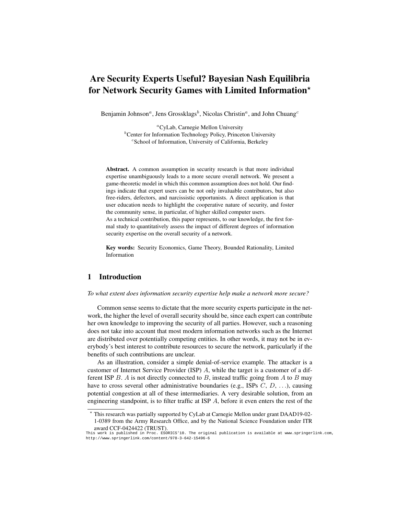# Are Security Experts Useful? Bayesian Nash Equilibria for Network Security Games with Limited Information?

Benjamin Johnson<sup>a</sup>, Jens Grossklags<sup>b</sup>, Nicolas Christin<sup>a</sup>, and John Chuang<sup>c</sup>

<sup>a</sup>CyLab, Carnegie Mellon University  $b$ Center for Information Technology Policy, Princeton University c School of Information, University of California, Berkeley

Abstract. A common assumption in security research is that more individual expertise unambiguously leads to a more secure overall network. We present a game-theoretic model in which this common assumption does not hold. Our findings indicate that expert users can be not only invaluable contributors, but also free-riders, defectors, and narcissistic opportunists. A direct application is that user education needs to highlight the cooperative nature of security, and foster the community sense, in particular, of higher skilled computer users. As a technical contribution, this paper represents, to our knowledge, the first formal study to quantitatively assess the impact of different degrees of information security expertise on the overall security of a network.

Key words: Security Economics, Game Theory, Bounded Rationality, Limited Information

# 1 Introduction

*To what extent does information security expertise help make a network more secure?*

Common sense seems to dictate that the more security experts participate in the network, the higher the level of overall security should be, since each expert can contribute her own knowledge to improving the security of all parties. However, such a reasoning does not take into account that most modern information networks such as the Internet are distributed over potentially competing entities. In other words, it may not be in everybody's best interest to contribute resources to secure the network, particularly if the benefits of such contributions are unclear.

As an illustration, consider a simple denial-of-service example. The attacker is a customer of Internet Service Provider (ISP) A, while the target is a customer of a different ISP  $B$ .  $A$  is not directly connected to  $B$ , instead traffic going from  $A$  to  $B$  may have to cross several other administrative boundaries (e.g., ISPs  $C, D, \ldots$ ), causing potential congestion at all of these intermediaries. A very desirable solution, from an engineering standpoint, is to filter traffic at ISP  $\hat{A}$ , before it even enters the rest of the

<sup>?</sup> This research was partially supported by CyLab at Carnegie Mellon under grant DAAD19-02- 1-0389 from the Army Research Office, and by the National Science Foundation under ITR

award CCF-0424422 (TRUST). This work is published in Proc. ESORICS'10. The original publication is available at www.springerlink.com, http://www.springerlink.com/content/978-3-642-15496-6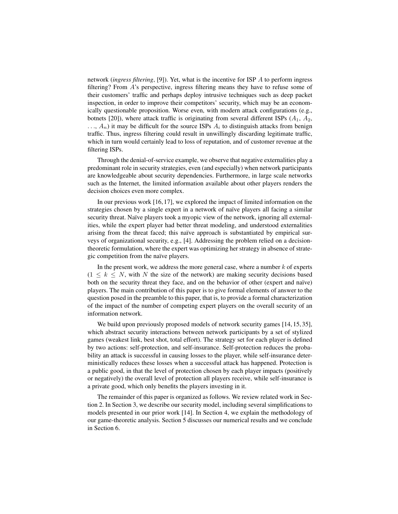network (*ingress filtering*, [9]). Yet, what is the incentive for ISP A to perform ingress filtering? From A's perspective, ingress filtering means they have to refuse some of their customers' traffic and perhaps deploy intrusive techniques such as deep packet inspection, in order to improve their competitors' security, which may be an economically questionable proposition. Worse even, with modern attack configurations (e.g., botnets [20]), where attack traffic is originating from several different ISPs  $(A_1, A_2, A_3)$  $..., A_n$ ) it may be difficult for the source ISPs  $A_i$  to distinguish attacks from benign traffic. Thus, ingress filtering could result in unwillingly discarding legitimate traffic, which in turn would certainly lead to loss of reputation, and of customer revenue at the filtering ISPs.

Through the denial-of-service example, we observe that negative externalities play a predominant role in security strategies, even (and especially) when network participants are knowledgeable about security dependencies. Furthermore, in large scale networks such as the Internet, the limited information available about other players renders the decision choices even more complex.

In our previous work [16, 17], we explored the impact of limited information on the strategies chosen by a single expert in a network of naïve players all facing a similar security threat. Naïve players took a myopic view of the network, ignoring all externalities, while the expert player had better threat modeling, and understood externalities arising from the threat faced; this naïve approach is substantiated by empirical surveys of organizational security, e.g., [4]. Addressing the problem relied on a decisiontheoretic formulation, where the expert was optimizing her strategy in absence of strategic competition from the naïve players.

In the present work, we address the more general case, where a number  $k$  of experts  $(1 \leq k \leq N$ , with N the size of the network) are making security decisions based both on the security threat they face, and on the behavior of other (expert and naïve) players. The main contribution of this paper is to give formal elements of answer to the question posed in the preamble to this paper, that is, to provide a formal characterization of the impact of the number of competing expert players on the overall security of an information network.

We build upon previously proposed models of network security games  $[14, 15, 35]$ , which abstract security interactions between network participants by a set of stylized games (weakest link, best shot, total effort). The strategy set for each player is defined by two actions: self-protection, and self-insurance. Self-protection reduces the probability an attack is successful in causing losses to the player, while self-insurance deterministically reduces these losses when a successful attack has happened. Protection is a public good, in that the level of protection chosen by each player impacts (positively or negatively) the overall level of protection all players receive, while self-insurance is a private good, which only benefits the players investing in it.

The remainder of this paper is organized as follows. We review related work in Section 2. In Section 3, we describe our security model, including several simplifications to models presented in our prior work [14]. In Section 4, we explain the methodology of our game-theoretic analysis. Section 5 discusses our numerical results and we conclude in Section 6.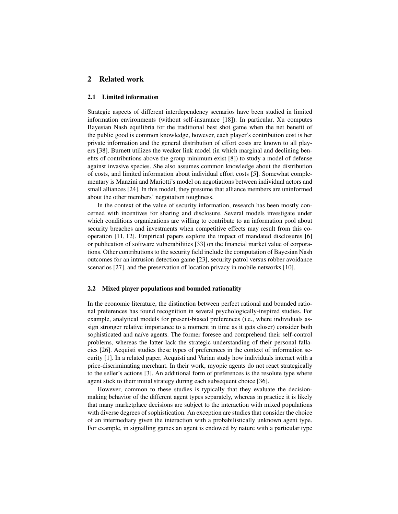# 2 Related work

#### 2.1 Limited information

Strategic aspects of different interdependency scenarios have been studied in limited information environments (without self-insurance [18]). In particular, Xu computes Bayesian Nash equilibria for the traditional best shot game when the net benefit of the public good is common knowledge, however, each player's contribution cost is her private information and the general distribution of effort costs are known to all players [38]. Burnett utilizes the weaker link model (in which marginal and declining benefits of contributions above the group minimum exist [8]) to study a model of defense against invasive species. She also assumes common knowledge about the distribution of costs, and limited information about individual effort costs [5]. Somewhat complementary is Manzini and Mariotti's model on negotiations between individual actors and small alliances [24]. In this model, they presume that alliance members are uninformed about the other members' negotiation toughness.

In the context of the value of security information, research has been mostly concerned with incentives for sharing and disclosure. Several models investigate under which conditions organizations are willing to contribute to an information pool about security breaches and investments when competitive effects may result from this cooperation [11, 12]. Empirical papers explore the impact of mandated disclosures [6] or publication of software vulnerabilities [33] on the financial market value of corporations. Other contributions to the security field include the computation of Bayesian Nash outcomes for an intrusion detection game [23], security patrol versus robber avoidance scenarios [27], and the preservation of location privacy in mobile networks [10].

#### 2.2 Mixed player populations and bounded rationality

In the economic literature, the distinction between perfect rational and bounded rational preferences has found recognition in several psychologically-inspired studies. For example, analytical models for present-biased preferences (i.e., where individuals assign stronger relative importance to a moment in time as it gets closer) consider both sophisticated and naïve agents. The former foresee and comprehend their self-control problems, whereas the latter lack the strategic understanding of their personal fallacies [26]. Acquisti studies these types of preferences in the context of information security [1]. In a related paper, Acquisti and Varian study how individuals interact with a price-discriminating merchant. In their work, myopic agents do not react strategically to the seller's actions [3]. An additional form of preferences is the resolute type where agent stick to their initial strategy during each subsequent choice [36].

However, common to these studies is typically that they evaluate the decisionmaking behavior of the different agent types separately, whereas in practice it is likely that many marketplace decisions are subject to the interaction with mixed populations with diverse degrees of sophistication. An exception are studies that consider the choice of an intermediary given the interaction with a probabilistically unknown agent type. For example, in signalling games an agent is endowed by nature with a particular type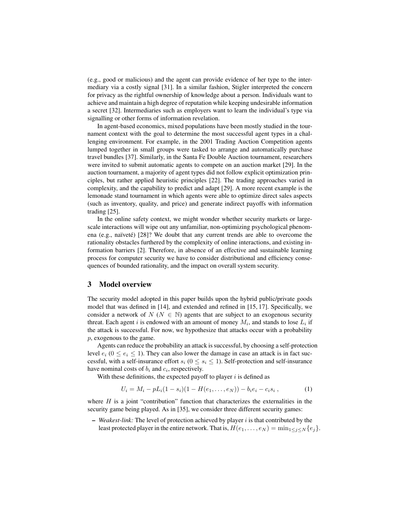(e.g., good or malicious) and the agent can provide evidence of her type to the intermediary via a costly signal [31]. In a similar fashion, Stigler interpreted the concern for privacy as the rightful ownership of knowledge about a person. Individuals want to achieve and maintain a high degree of reputation while keeping undesirable information a secret [32]. Intermediaries such as employers want to learn the individual's type via signalling or other forms of information revelation.

In agent-based economics, mixed populations have been mostly studied in the tournament context with the goal to determine the most successful agent types in a challenging environment. For example, in the 2001 Trading Auction Competition agents lumped together in small groups were tasked to arrange and automatically purchase travel bundles [37]. Similarly, in the Santa Fe Double Auction tournament, researchers were invited to submit automatic agents to compete on an auction market [29]. In the auction tournament, a majority of agent types did not follow explicit optimization principles, but rather applied heuristic principles [22]. The trading approaches varied in complexity, and the capability to predict and adapt [29]. A more recent example is the lemonade stand tournament in which agents were able to optimize direct sales aspects (such as inventory, quality, and price) and generate indirect payoffs with information trading [25].

In the online safety context, we might wonder whether security markets or largescale interactions will wipe out any unfamiliar, non-optimizing psychological phenomena (e.g., naïveté)  $[28]$ ? We doubt that any current trends are able to overcome the rationality obstacles furthered by the complexity of online interactions, and existing information barriers [2]. Therefore, in absence of an effective and sustainable learning process for computer security we have to consider distributional and efficiency consequences of bounded rationality, and the impact on overall system security.

## 3 Model overview

The security model adopted in this paper builds upon the hybrid public/private goods model that was defined in [14], and extended and refined in [15, 17]. Specifically, we consider a network of  $N$  ( $N \in \mathbb{N}$ ) agents that are subject to an exogenous security threat. Each agent i is endowed with an amount of money  $M_i$ , and stands to lose  $L_i$  if the attack is successful. For now, we hypothesize that attacks occur with a probability p, exogenous to the game.

Agents can reduce the probability an attack is successful, by choosing a self-protection level  $e_i$  ( $0 \le e_i \le 1$ ). They can also lower the damage in case an attack is in fact successful, with a self-insurance effort  $s_i$  ( $0 \leq s_i \leq 1$ ). Self-protection and self-insurance have nominal costs of  $b_i$  and  $c_i$ , respectively.

With these definitions, the expected payoff to player  $i$  is defined as

$$
U_i = M_i - pL_i(1 - s_i)(1 - H(e_1, \dots, e_N)) - b_ie_i - c_is_i, \qquad (1)
$$

where  $H$  is a joint "contribution" function that characterizes the externalities in the security game being played. As in [35], we consider three different security games:

– *Weakest-link:* The level of protection achieved by player i is that contributed by the least protected player in the entire network. That is,  $H(e_1, \ldots, e_N) = \min_{1 \leq j \leq N} \{e_j\}.$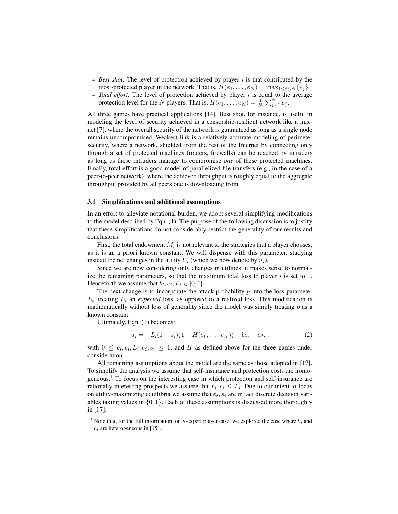- *Best shot:* The level of protection achieved by player i is that contributed by the most-protected player in the network. That is,  $H(e_1, \ldots, e_N) = \max_{1 \leq j \leq N} \{e_j\}.$
- *Total effort:* The level of protection achieved by player i is equal to the average protection level for the N players. That is,  $H(e_1, \ldots, e_N) = \frac{1}{N} \sum_{j=1}^N e_j$ .

All three games have practical applications [14]. Best shot, for instance, is useful in modeling the level of security achieved in a censorship-resilient network like a mixnet [7], where the overall security of the network is guaranteed as long as a single node remains uncompromised. Weakest link is a relatively accurate modeling of perimeter security, where a network, shielded from the rest of the Internet by connecting only through a set of protected machines (routers, firewalls) can be reached by intruders as long as these intruders manage to compromise *one* of these protected machines. Finally, total effort is a good model of parallelized file transfers (e.g., in the case of a peer-to-peer network), where the achieved throughput is roughly equal to the aggregate throughput provided by all peers one is downloading from.

#### 3.1 Simplifications and additional assumptions

In an effort to alleviate notational burden, we adopt several simplifying modifications to the model described by Eqn. (1). The purpose of the following discussion is to justify that these simplifications do not considerably restrict the generality of our results and conclusions.

First, the total endowment  $M_i$  is not relevant to the strategies that a player chooses, as it is an a priori known constant. We will dispense with this parameter, studying instead the net changes in the utility  $U_i$  (which we now denote by  $u_i$ ).

Since we are now considering only changes in utilities, it makes sense to normalize the remaining parameters, so that the maximum total loss to player  $i$  is set to 1. Henceforth we assume that  $b_i, c_i, L_i \in [0, 1]$ .

The next change is to incorporate the attack probability  $p$  into the loss parameter  $L_i$ , treating  $L_i$  an *expected* loss, as opposed to a realized loss. This modification is mathematically without loss of generality since the model was simply treating  $p$  as a known constant.

Ultimately, Eqn. (1) becomes:

$$
u_i = -L_i(1 - s_i)(1 - H(e_1, \dots, e_N)) - be_i - cs_i , \qquad (2)
$$

with  $0 \leq b_i, c_i, L_i, e_i, s_i \leq 1$ , and H as defined above for the three games under consideration.

All remaining assumptions about the model are the same as those adopted in [17]. To simplify the analysis we assume that self-insurance and protection costs are homogeneous.<sup>1</sup> To focus on the interesting case in which protection and self-insurance are rationally interesting prospects we assume that  $b_i, c_i \leq L_i$ . Due to our intent to focus on utility-maximizing equilibria we assume that  $e_i$ ,  $s_i$  are in fact discrete decision variables taking values in  $\{0, 1\}$ . Each of these assumptions is discussed more thoroughly in [17].

<sup>&</sup>lt;sup>1</sup> Note that, for the full information, only-expert player case, we explored the case where  $b_i$  and  $c_i$  are heterogeneous in [15].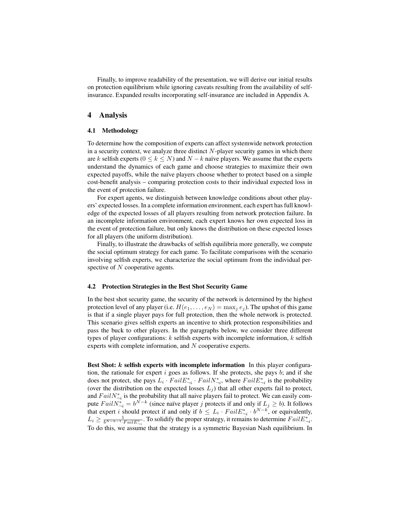Finally, to improve readability of the presentation, we will derive our initial results on protection equilibrium while ignoring caveats resulting from the availability of selfinsurance. Expanded results incorporating self-insurance are included in Appendix A.

# 4 Analysis

## 4.1 Methodology

To determine how the composition of experts can affect systemwide network protection in a security context, we analyze three distinct  $N$ -player security games in which there are k selfish experts ( $0 \le k \le N$ ) and  $N - k$  naïve players. We assume that the experts understand the dynamics of each game and choose strategies to maximize their own expected payoffs, while the naïve players choose whether to protect based on a simple cost-benefit analysis – comparing protection costs to their individual expected loss in the event of protection failure.

For expert agents, we distinguish between knowledge conditions about other players' expected losses. In a complete information environment, each expert has full knowledge of the expected losses of all players resulting from network protection failure. In an incomplete information environment, each expert knows her own expected loss in the event of protection failure, but only knows the distribution on these expected losses for all players (the uniform distribution).

Finally, to illustrate the drawbacks of selfish equilibria more generally, we compute the social optimum strategy for each game. To facilitate comparisons with the scenario involving selfish experts, we characterize the social optimum from the individual perspective of N cooperative agents.

#### 4.2 Protection Strategies in the Best Shot Security Game

In the best shot security game, the security of the network is determined by the highest protection level of any player (i.e.  $H(e_1, \ldots, e_N) = \max_j e_j$ ). The upshot of this game is that if a single player pays for full protection, then the whole network is protected. This scenario gives selfish experts an incentive to shirk protection responsibilities and pass the buck to other players. In the paragraphs below, we consider three different types of player configurations:  $k$  selfish experts with incomplete information,  $k$  selfish experts with complete information, and N cooperative experts.

Best Shot: k selfish experts with incomplete information In this player configuration, the rationale for expert  $i$  goes as follows. If she protects, she pays  $b$ ; and if she does not protect, she pays  $L_i \cdot TailE_{\neg i}^* \cdot FallN_{\neg i}^*$ , where  $FallE_{\neg i}^*$  is the probability (over the distribution on the expected losses  $L_j$ ) that all other experts fail to protect, and  $Fall_{\neg i}^*$  is the probability that all naive players fail to protect. We can easily compute  $Fall_{\neg i}^* = b^{N-k}$  (since naïve player j protects if and only if  $L_j \ge b$ ). It follows that expert *i* should protect if and only if  $b \leq L_i \cdot \text{Fall } E_{\neg i}^* \cdot b^{N-k}$ , or equivalently,  $L_i \geq \frac{1}{b^{N-k-1} \cdot FailE_{-i}^*}$ . To solidify the proper strategy, it remains to determine  $FailE_{-i}^*$ . To do this, we assume that the strategy is a symmetric Bayesian Nash equilibrium. In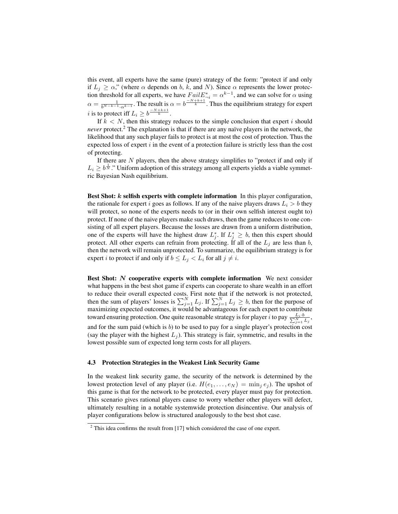this event, all experts have the same (pure) strategy of the form: "protect if and only if  $L_j \ge \alpha$ ," (where  $\alpha$  depends on b, k, and N). Since  $\alpha$  represents the lower protection threshold for all experts, we have  $FailE_{\neg i}^* = \alpha^{k-1}$ , and we can solve for  $\alpha$  using  $\alpha = \frac{1}{b^{N-k-1} \cdot \alpha^{k-1}}$ . The result is  $\alpha = b^{\frac{-N+k+1}{k}}$ . Thus the equilibrium strategy for expert i is to protect iff  $L_i \geq b^{\frac{-N+k+1}{k}}$ .

If  $k < N$ , then this strategy reduces to the simple conclusion that expert i should *never* protect.<sup>2</sup> The explanation is that if there are any naïve players in the network, the likelihood that any such player fails to protect is at most the cost of protection. Thus the expected loss of expert  $i$  in the event of a protection failure is strictly less than the cost of protecting.

If there are  $N$  players, then the above strategy simplifies to "protect if and only if  $L_i \geq b^{\frac{1}{N}}$ ." Uniform adoption of this strategy among all experts yields a viable symmetric Bayesian Nash equilibrium.

Best Shot: k selfish experts with complete information In this player configuration, the rationale for expert i goes as follows. If any of the naive players draws  $L_i > b$  they will protect, so none of the experts needs to (or in their own selfish interest ought to) protect. If none of the naive players make such draws, then the game reduces to one consisting of all expert players. Because the losses are drawn from a uniform distribution, one of the experts will have the highest draw  $L_j^*$ . If  $L_j^* \geq b$ , then this expert should protect. All other experts can refrain from protecting. If all of the  $L_j$  are less than b, then the network will remain unprotected. To summarize, the equilibrium strategy is for expert *i* to protect if and only if  $b \leq L_j < L_i$  for all  $j \neq i$ .

Best Shot: N cooperative experts with complete information We next consider what happens in the best shot game if experts can cooperate to share wealth in an effort to reduce their overall expected costs. First note that if the network is not protected, then the sum of players' losses is  $\sum_{j=1}^{N} L_j$ . If  $\sum_{j=1}^{N} L_j \geq b$ , then for the purpose of maximizing expected outcomes, it would be advantageous for each expert to contribute toward ensuring protection. One quite reasonable strategy is for player i to pay  $\frac{L_i \cdot b}{\sum_{j=1}^N L_j}$ , and for the sum paid (which is  $b$ ) to be used to pay for a single player's protection cost (say the player with the highest  $L_j$ ). This strategy is fair, symmetric, and results in the lowest possible sum of expected long term costs for all players.

#### 4.3 Protection Strategies in the Weakest Link Security Game

In the weakest link security game, the security of the network is determined by the lowest protection level of any player (i.e.  $H(e_1, \ldots, e_N) = \min_i e_i$ ). The upshot of this game is that for the network to be protected, every player must pay for protection. This scenario gives rational players cause to worry whether other players will defect, ultimately resulting in a notable systemwide protection disincentive. Our analysis of player configurations below is structured analogously to the best shot case.

 $2$  This idea confirms the result from [17] which considered the case of one expert.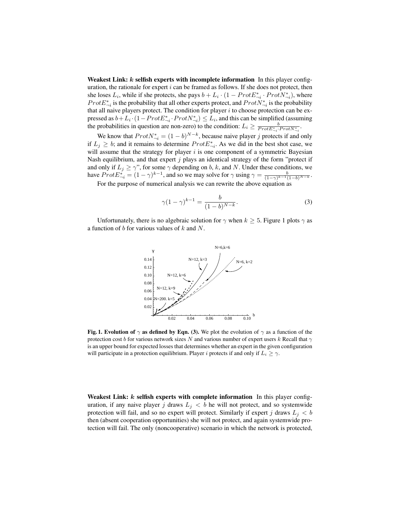Weakest Link:  $k$  selfish experts with incomplete information In this player configuration, the rationale for expert  $i$  can be framed as follows. If she does not protect, then she loses  $L_i$ , while if she protects, she pays  $b + L_i \cdot (1 - ProtE_{\neg i}^* \cdot ProtN_{\neg i}^*)$ , where  $Prot E_{\neg i}^*$  is the probability that all other experts protect, and  $Prot N_{\neg i}^*$  is the probability that all naive players protect. The condition for player  $i$  to choose protection can be expressed as  $b + L_i \cdot (1 - Prot \mathbb{E}_{\neg i}^* \cdot Prot \mathbb{N}_{\neg i}^*) \leq L_i$ , and this can be simplified (assuming the probabilities in question are non-zero) to the condition:  $L_i \geq \frac{b}{Prot E^*_{-i} \cdot Prot N^*_{-i}}$ .

We know that  $Prot N_{\neg i}^* = (1 - b)^{N-k}$ , because naive player j protects if and only if  $L_j \geq b$ ; and it remains to determine  $ProtE_{\neg i}^*$ . As we did in the best shot case, we will assume that the strategy for player  $i$  is one component of a symmetric Bayesian Nash equilibrium, and that expert  $j$  plays an identical strategy of the form "protect if and only if  $L_j \ge \gamma$ ", for some  $\gamma$  depending on b, k, and N. Under these conditions, we have  $ProtE_{\neg i}^* = (1 - \gamma)^{k-1}$ , and so we may solve for  $\gamma$  using  $\gamma = \frac{b}{(1 - \gamma)^{k-1}(1 - b)^{N-k}}$ .

For the purpose of numerical analysis we can rewrite the above equation as

$$
\gamma (1 - \gamma)^{k-1} = \frac{b}{(1 - b)^{N-k}}.\tag{3}
$$

Unfortunately, there is no algebraic solution for  $\gamma$  when  $k \geq 5$ . Figure 1 plots  $\gamma$  as a function of  $b$  for various values of  $k$  and  $N$ .



Fig. 1. Evolution of  $\gamma$  as defined by Eqn. (3). We plot the evolution of  $\gamma$  as a function of the protection cost b for various network sizes N and various number of expert users k Recall that  $\gamma$ is an upper bound for expected losses that determines whether an expert in the given configuration will participate in a protection equilibrium. Player i protects if and only if  $L_i \geq \gamma$ .

Weakest Link:  $k$  selfish experts with complete information In this player configuration, if any naive player j draws  $L_j < b$  he will not protect, and so systemwide protection will fail, and so no expert will protect. Similarly if expert j draws  $L_i < b$ then (absent cooperation opportunities) she will not protect, and again systemwide protection will fail. The only (noncooperative) scenario in which the network is protected,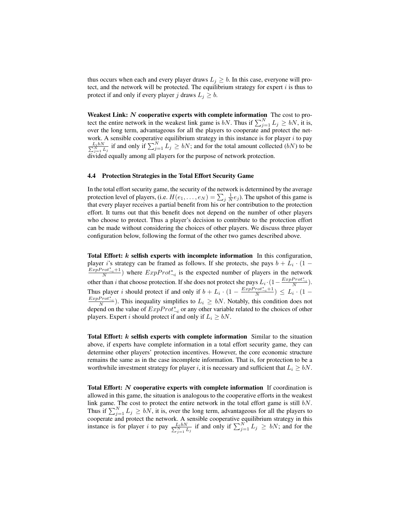thus occurs when each and every player draws  $L_j \geq b$ . In this case, everyone will protect, and the network will be protected. The equilibrium strategy for expert  $i$  is thus to protect if and only if every player j draws  $L_j \geq b$ .

Weakest Link: N cooperative experts with complete information The cost to protect the entire network in the weakest link game is bN. Thus if  $\sum_{j=1}^{N} L_j \geq bN$ , it is, over the long term, advantageous for all the players to cooperate and protect the network. A sensible cooperative equilibrium strategy in this instance is for player  $i$  to pay  $\frac{L_i b N}{\sum_{j=1}^N L_j}$  if and only if  $\sum_{j=1}^N L_j \ge bN$ ; and for the total amount collected  $(bN)$  to be divided equally among all players for the purpose of network protection.

#### 4.4 Protection Strategies in the Total Effort Security Game

In the total effort security game, the security of the network is determined by the average protection level of players, (i.e.  $H(e_1, \ldots, e_N) = \sum_j \frac{1}{N} e_j$ ). The upshot of this game is that every player receives a partial benefit from his or her contribution to the protection effort. It turns out that this benefit does not depend on the number of other players who choose to protect. Thus a player's decision to contribute to the protection effort can be made without considering the choices of other players. We discuss three player configuration below, following the format of the other two games described above.

Total Effort:  $k$  selfish experts with incomplete information In this configuration, player *i*'s strategy can be framed as follows. If she protects, she pays  $b + L_i \cdot (1 \frac{ExpProt^*_{-i}+1}{N}$ ) where  $ExpProt^*_{-i}$  is the expected number of players in the network other than i that choose protection. If she does not protect she pays  $L_i \cdot (1 - \frac{ExpProt_{\neg i}^*}{N})$ . Thus player *i* should protect if and only if  $b + L_i \cdot (1 - \frac{ExpProt_{-i}^* + 1}{N}) \leq L_i \cdot (1 \frac{ExpProt^*_{-i}}{N}$ ). This inequality simplifies to  $L_i \geq bN$ . Notably, this condition does not depend on the value of  $ExpProt_{\neg i}^*$  or any other variable related to the choices of other players. Expert i should protect if and only if  $L_i \geq bN$ .

Total Effort: k selfish experts with complete information Similar to the situation above, if experts have complete information in a total effort security game, they can determine other players' protection incentives. However, the core economic structure remains the same as in the case incomplete information. That is, for protection to be a worthwhile investment strategy for player i, it is necessary and sufficient that  $L_i \geq bN$ .

Total Effort: N cooperative experts with complete information If coordination is allowed in this game, the situation is analogous to the cooperative efforts in the weakest link game. The cost to protect the entire network in the total effort game is still  $bN$ . Thus if  $\sum_{j=1}^{N} L_j \ge bN$ , it is, over the long term, advantageous for all the players to cooperate and protect the network. A sensible cooperative equilibrium strategy in this instance is for player i to pay  $\frac{L_i bN}{\sum_{j=1}^N L_j}$  if and only if  $\sum_{j=1}^N L_j \ge bN$ ; and for the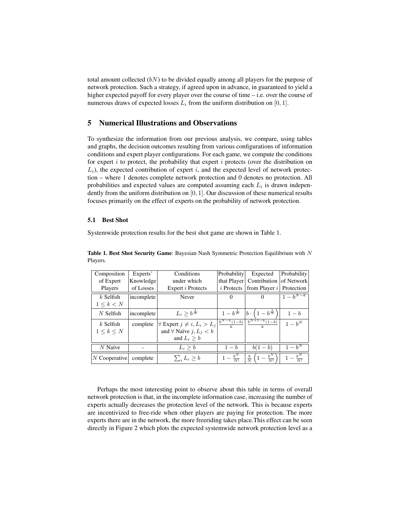total amount collected  $(bN)$  to be divided equally among all players for the purpose of network protection. Such a strategy, if agreed upon in advance, in guaranteed to yield a higher expected payoff for every player over the course of time – i.e. over the course of numerous draws of expected losses  $L_i$  from the uniform distribution on [0, 1].

# 5 Numerical Illustrations and Observations

To synthesize the information from our previous analysis, we compare, using tables and graphs, the decision outcomes resulting from various configurations of information conditions and expert player configurations. For each game, we compute the conditions for expert i to protect, the probability that expert i protects (over the distribution on  $L_i$ ), the expected contribution of expert i, and the expected level of network protection – where 1 denotes complete network protection and 0 denotes no protection. All probabilities and expected values are computed assuming each  $L_i$  is drawn independently from the uniform distribution on [0, 1]. Our discussion of these numerical results focuses primarily on the effect of experts on the probability of network protection.

## 5.1 Best Shot

Systemwide protection results for the best shot game are shown in Table 1.

| Composition       | Experts'   | Conditions                             | Probability                    | Expected                           | Probability            |
|-------------------|------------|----------------------------------------|--------------------------------|------------------------------------|------------------------|
| of Expert         | Knowledge  | under which                            | that Player                    | Contribution                       | of Network             |
| Players           | of Losses  | Expert <i>i</i> Protects               | <i>i</i> Protects              | from Player $i$                    | Protection             |
| $k$ Selfish       | incomplete | Never                                  | $\Omega$                       | $\theta$                           | $1-\overline{b^{N-k}}$ |
| $1 \leq k \leq N$ |            |                                        |                                |                                    |                        |
| $N$ Selfish       | incomplete | $L_i \geq b^{\frac{1}{N}}$             | $1-b^{\frac{1}{N}}$            | $(1-b^{\frac{1}{N}})$<br>$b \cdot$ | $1-b$                  |
| $k$ Selfish       | complete   | $\forall$ Expert $j \neq i, L_i > L_j$ | $b^{N-k}(1-b)$<br>$\mathbf{k}$ | $b^{N+1-k}(1-b)$                   | $1-h^N$                |
| $1\leq k\leq N$   |            | and $\forall$ Naïve j, $L_i < b$       |                                |                                    |                        |
|                   |            | and $L_i > b$                          |                                |                                    |                        |
| $N$ Naïve         |            | $L_i > b$                              | $1-b$                          | $b(1-b)$                           | $1-h^N$                |
| $N$ Cooperative   | complete   | $\sum_i L_i \geq b$                    | $-\frac{b^N}{N!}$              | $rac{b^N}{N!}$<br>$\frac{b}{N}$    | $rac{b^N}{N!}$         |

Table 1. Best Shot Security Game: Bayesian Nash Symmetric Protection Equilibrium with  $N$ Players.

Perhaps the most interesting point to observe about this table in terms of overall network protection is that, in the incomplete information case, increasing the number of experts actually decreases the protection level of the network. This is because experts are incentivized to free-ride when other players are paying for protection. The more experts there are in the network, the more freeriding takes place.This effect can be seen directly in Figure 2 which plots the expected systemwide network protection level as a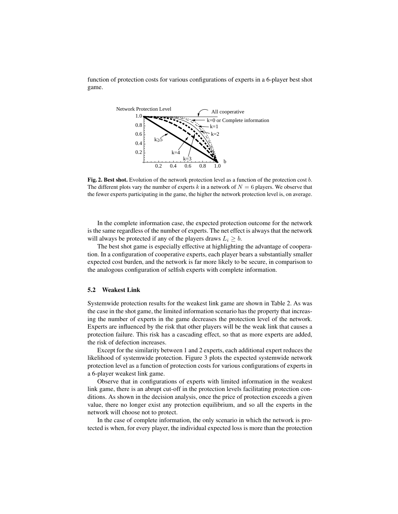function of protection costs for various configurations of experts in a 6-player best shot game.



Fig. 2. Best shot. Evolution of the network protection level as a function of the protection cost b. The different plots vary the number of experts k in a network of  $N = 6$  players. We observe that the fewer experts participating in the game, the higher the network protection level is, on average.

In the complete information case, the expected protection outcome for the network is the same regardless of the number of experts. The net effect is always that the network will always be protected if any of the players draws  $L_i \geq b$ .

The best shot game is especially effective at highlighting the advantage of cooperation. In a configuration of cooperative experts, each player bears a substantially smaller expected cost burden, and the network is far more likely to be secure, in comparison to the analogous configuration of selfish experts with complete information.

#### 5.2 Weakest Link

Systemwide protection results for the weakest link game are shown in Table 2. As was the case in the shot game, the limited information scenario has the property that increasing the number of experts in the game decreases the protection level of the network. Experts are influenced by the risk that other players will be the weak link that causes a protection failure. This risk has a cascading effect, so that as more experts are added, the risk of defection increases.

Except for the similarity between 1 and 2 experts, each additional expert reduces the likelihood of systemwide protection. Figure 3 plots the expected systemwide network protection level as a function of protection costs for various configurations of experts in a 6-player weakest link game.

Observe that in configurations of experts with limited information in the weakest link game, there is an abrupt cut-off in the protection levels facilitating protection conditions. As shown in the decision analysis, once the price of protection exceeds a given value, there no longer exist any protection equilibrium, and so all the experts in the network will choose not to protect.

In the case of complete information, the only scenario in which the network is protected is when, for every player, the individual expected loss is more than the protection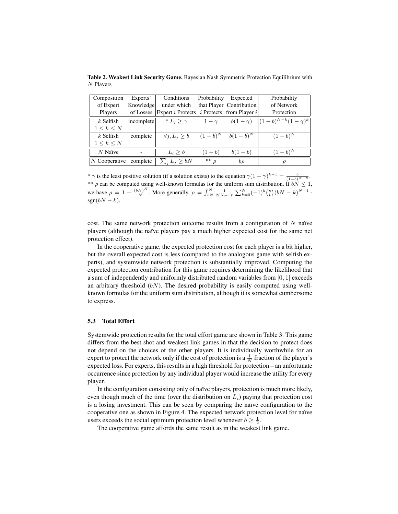Table 2. Weakest Link Security Game. Bayesian Nash Symmetric Protection Equilibrium with N Players

| Composition       | Experts'   | Conditions               | Probability | Expected                     | Probability                                                  |
|-------------------|------------|--------------------------|-------------|------------------------------|--------------------------------------------------------------|
| of Expert         | Knowledge  | under which              |             | that Player   Contribution   | of Network                                                   |
| Players           | of Losses  | Expert <i>i</i> Protects |             | $i$ Protects from Player $i$ | Protection                                                   |
| $k$ Selfish       | incomplete | * $L_i > \gamma$         |             |                              | $1 - \gamma$ $b(1 - \gamma)$ $ (1 - b)^{N-k}(1 - \gamma)^k $ |
| $1 \leq k \leq N$ |            |                          |             |                              |                                                              |
| $k$ Selfish       | complete   | $\forall j, L_j \geq b$  |             | $(1-b)^N$ $b(1-b)^N$         | $(1-b)^{N}$                                                  |
| $1 \leq k \leq N$ |            |                          |             |                              |                                                              |
| $N$ Naïve         |            | $L_i > b$                | $(1-b)$     | $b(1-b)$                     | $(1-b)^N$                                                    |
| $N$ Cooperative   | complete   | $\sum_i L_j \geq bN$     | $**$ $\rho$ | $b\rho$                      | ρ                                                            |

\*  $\gamma$  is the least positive solution (if a solution exists) to the equation  $\gamma (1 - \gamma)^{k-1} = \frac{b}{(1-b)^{N-k}}$ . \*\*  $\rho$  can be computed using well-known formulas for the uniform sum distribution. If  $bN \leq 1$ , we have  $\rho = 1 - \frac{(bN)^N}{N!}$ . More generally,  $\rho = \int_{bN}^N \frac{1}{2(N-1)!} \sum_{k=0}^N (-1)^k {n \choose k} (bN-k)^{N-1}$ .  $sgn(bN - k)$ .

cost. The same network protection outcome results from a configuration of  $N$  naïve players (although the naïve players pay a much higher expected cost for the same net protection effect).

In the cooperative game, the expected protection cost for each player is a bit higher, but the overall expected cost is less (compared to the analogous game with selfish experts), and systemwide network protection is substantially improved. Computing the expected protection contribution for this game requires determining the likelihood that a sum of independently and uniformly distributed random variables from [0, 1] exceeds an arbitrary threshold  $(bN)$ . The desired probability is easily computed using wellknown formulas for the uniform sum distribution, although it is somewhat cumbersome to express.

#### 5.3 Total Effort

Systemwide protection results for the total effort game are shown in Table 3. This game differs from the best shot and weakest link games in that the decision to protect does not depend on the choices of the other players. It is individually worthwhile for an expert to protect the network only if the cost of protection is a  $\frac{1}{N}$  fraction of the player's expected loss. For experts, this results in a high threshold for protection – an unfortunate occurrence since protection by any individual player would increase the utility for every player.

In the configuration consisting only of naïve players, protection is much more likely, even though much of the time (over the distribution on  $L_i$ ) paying that protection cost is a losing investment. This can be seen by comparing the naïve configuration to the cooperative one as shown in Figure 4. The expected network protection level for naïve users exceeds the social optimum protection level whenever  $b \geq \frac{1}{2}$ .

The cooperative game affords the same result as in the weakest link game.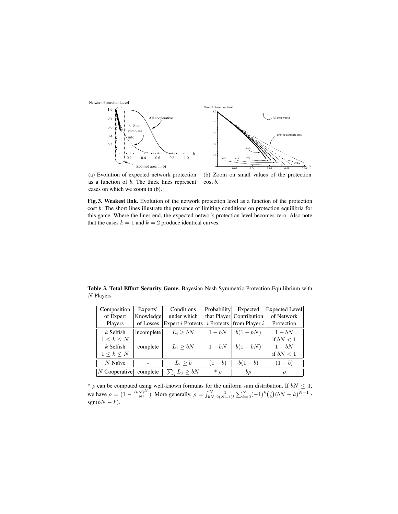

(a) Evolution of expected network protection as a function of b. The thick lines represent cases on which we zoom in (b).

(b) Zoom on small values of the protection cost b.

Fig. 3. Weakest link. Evolution of the network protection level as a function of the protection cost b. The short lines illustrate the presence of limiting conditions on protection equilibria for this game. Where the lines end, the expected network protection level becomes zero. Also note that the cases  $k = 1$  and  $k = 2$  produce identical curves.

Table 3. Total Effort Security Game. Bayesian Nash Symmetric Protection Equilibrium with N Players

| Composition       | Experts'   | Conditions               | Probability | Expected                     | <b>Expected Level</b> |
|-------------------|------------|--------------------------|-------------|------------------------------|-----------------------|
| of Expert         | Knowledge  | under which              |             | that Player   Contribution   | of Network            |
| Players           | of Losses  | Expert <i>i</i> Protects |             | $i$ Protects from Player $i$ | Protection            |
| $k$ Selfish       | incomplete | $L_i > bN$               | $1-bN$      | $b(1-bN)$                    | $1-bN$                |
| $1 \leq k \leq N$ |            |                          |             |                              | if $bN < 1$           |
| $k$ Selfish       | complete   | $L_i > bN$               | $1-bN$      | $b(1-bN)$                    | $1-bN$                |
| $1\leq k\leq N$   |            |                          |             |                              | if $bN < 1$           |
| $N$ Naïve         |            | $L_i > b$                | $(1-b)$     | $b(1-b)$                     | $(1-b)$               |
| $N$ Cooperative   | complete   | $\sum_i L_j \geq bN$     | $*\rho$     | $b\rho$                      | Ω                     |

\*  $\rho$  can be computed using well-known formulas for the uniform sum distribution. If  $bN \leq 1$ , we have  $\rho = (1 - \frac{(bN)^N}{N!})$ . More generally,  $\rho = \int_{bN}^N \frac{1}{2(N-1)!} \sum_{k=0}^N (-1)^k {n \choose k} (bN-k)^{N-1}$ .  $sgn(bN - k)$ .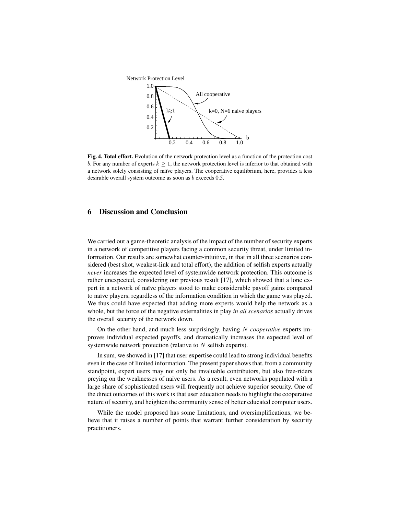

Fig. 4. Total effort. Evolution of the network protection level as a function of the protection cost b. For any number of experts  $k \geq 1$ , the network protection level is inferior to that obtained with a network solely consisting of naïve players. The cooperative equilibrium, here, provides a less desirable overall system outcome as soon as b exceeds 0.5.

# 6 Discussion and Conclusion

We carried out a game-theoretic analysis of the impact of the number of security experts in a network of competitive players facing a common security threat, under limited information. Our results are somewhat counter-intuitive, in that in all three scenarios considered (best shot, weakest-link and total effort), the addition of selfish experts actually *never* increases the expected level of systemwide network protection. This outcome is rather unexpected, considering our previous result [17], which showed that a lone expert in a network of naïve players stood to make considerable payoff gains compared to naïve players, regardless of the information condition in which the game was played. We thus could have expected that adding more experts would help the network as a whole, but the force of the negative externalities in play *in all scenarios* actually drives the overall security of the network down.

On the other hand, and much less surprisingly, having N *cooperative* experts improves individual expected payoffs, and dramatically increases the expected level of systemwide network protection (relative to N selfish experts).

In sum, we showed in [17] that user expertise could lead to strong individual benefits even in the case of limited information. The present paper shows that, from a community standpoint, expert users may not only be invaluable contributors, but also free-riders preying on the weaknesses of naïve users. As a result, even networks populated with a large share of sophisticated users will frequently not achieve superior security. One of the direct outcomes of this work is that user education needs to highlight the cooperative nature of security, and heighten the community sense of better educated computer users.

While the model proposed has some limitations, and oversimplifications, we believe that it raises a number of points that warrant further consideration by security practitioners.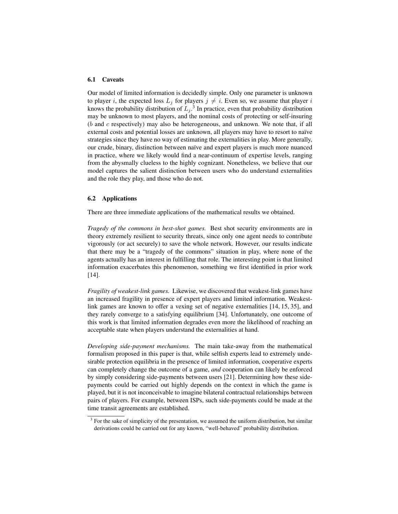#### 6.1 Caveats

Our model of limited information is decidedly simple. Only one parameter is unknown to player i, the expected loss  $L_j$  for players  $j \neq i$ . Even so, we assume that player i knows the probability distribution of  $L_j$ .<sup>3</sup> In practice, even that probability distribution may be unknown to most players, and the nominal costs of protecting or self-insuring  $(b \text{ and } c \text{ respectively})$  may also be heterogeneous, and unknown. We note that, if all external costs and potential losses are unknown, all players may have to resort to naïve strategies since they have no way of estimating the externalities in play. More generally, our crude, binary, distinction between na¨ıve and expert players is much more nuanced in practice, where we likely would find a near-continuum of expertise levels, ranging from the abysmally clueless to the highly cognizant. Nonetheless, we believe that our model captures the salient distinction between users who do understand externalities and the role they play, and those who do not.

#### 6.2 Applications

There are three immediate applications of the mathematical results we obtained.

*Tragedy of the commons in best-shot games.* Best shot security environments are in theory extremely resilient to security threats, since only one agent needs to contribute vigorously (or act securely) to save the whole network. However, our results indicate that there may be a "tragedy of the commons" situation in play, where none of the agents actually has an interest in fulfilling that role. The interesting point is that limited information exacerbates this phenomenon, something we first identified in prior work [14].

*Fragility of weakest-link games.* Likewise, we discovered that weakest-link games have an increased fragility in presence of expert players and limited information. Weakestlink games are known to offer a vexing set of negative externalities [14, 15, 35], and they rarely converge to a satisfying equilibrium [34]. Unfortunately, one outcome of this work is that limited information degrades even more the likelihood of reaching an acceptable state when players understand the externalities at hand.

*Developing side-payment mechanisms.* The main take-away from the mathematical formalism proposed in this paper is that, while selfish experts lead to extremely undesirable protection equilibria in the presence of limited information, cooperative experts can completely change the outcome of a game, *and* cooperation can likely be enforced by simply considering side-payments between users [21]. Determining how these sidepayments could be carried out highly depends on the context in which the game is played, but it is not inconceivable to imagine bilateral contractual relationships between pairs of players. For example, between ISPs, such side-payments could be made at the time transit agreements are established.

 $3$  For the sake of simplicity of the presentation, we assumed the uniform distribution, but similar derivations could be carried out for any known, "well-behaved" probability distribution.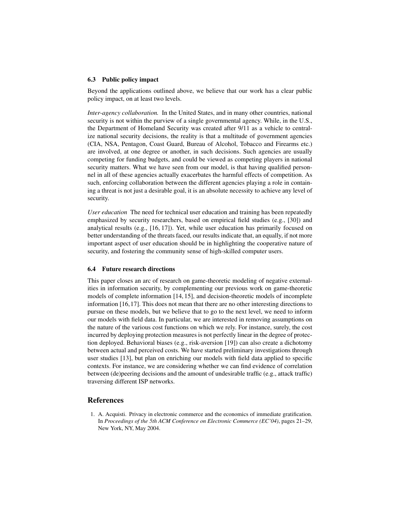#### 6.3 Public policy impact

Beyond the applications outlined above, we believe that our work has a clear public policy impact, on at least two levels.

*Inter-agency collaboration.* In the United States, and in many other countries, national security is not within the purview of a single governmental agency. While, in the U.S., the Department of Homeland Security was created after 9/11 as a vehicle to centralize national security decisions, the reality is that a multitude of government agencies (CIA, NSA, Pentagon, Coast Guard, Bureau of Alcohol, Tobacco and Firearms etc.) are involved, at one degree or another, in such decisions. Such agencies are usually competing for funding budgets, and could be viewed as competing players in national security matters. What we have seen from our model, is that having qualified personnel in all of these agencies actually exacerbates the harmful effects of competition. As such, enforcing collaboration between the different agencies playing a role in containing a threat is not just a desirable goal, it is an absolute necessity to achieve any level of security.

*User education* The need for technical user education and training has been repeatedly emphasized by security researchers, based on empirical field studies (e.g., [30]) and analytical results (e.g., [16, 17]). Yet, while user education has primarily focused on better understanding of the threats faced, our results indicate that, an equally, if not more important aspect of user education should be in highlighting the cooperative nature of security, and fostering the community sense of high-skilled computer users.

#### 6.4 Future research directions

This paper closes an arc of research on game-theoretic modeling of negative externalities in information security, by complementing our previous work on game-theoretic models of complete information [14, 15], and decision-theoretic models of incomplete information [16,17]. This does not mean that there are no other interesting directions to pursue on these models, but we believe that to go to the next level, we need to inform our models with field data. In particular, we are interested in removing assumptions on the nature of the various cost functions on which we rely. For instance, surely, the cost incurred by deploying protection measures is not perfectly linear in the degree of protection deployed. Behavioral biases (e.g., risk-aversion [19]) can also create a dichotomy between actual and perceived costs. We have started preliminary investigations through user studies [13], but plan on enriching our models with field data applied to specific contexts. For instance, we are considering whether we can find evidence of correlation between (de)peering decisions and the amount of undesirable traffic (e.g., attack traffic) traversing different ISP networks.

### References

1. A. Acquisti. Privacy in electronic commerce and the economics of immediate gratification. In *Proceedings of the 5th ACM Conference on Electronic Commerce (EC'04)*, pages 21–29, New York, NY, May 2004.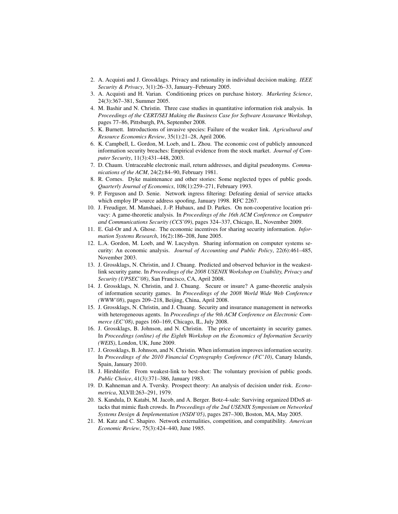- 2. A. Acquisti and J. Grossklags. Privacy and rationality in individual decision making. *IEEE Security & Privacy*, 3(1):26–33, January–February 2005.
- 3. A. Acquisti and H. Varian. Conditioning prices on purchase history. *Marketing Science*, 24(3):367–381, Summer 2005.
- 4. M. Bashir and N. Christin. Three case studies in quantitative information risk analysis. In *Proceedings of the CERT/SEI Making the Business Case for Software Assurance Workshop*, pages 77–86, Pittsburgh, PA, September 2008.
- 5. K. Burnett. Introductions of invasive species: Failure of the weaker link. *Agricultural and Resource Economics Review*, 35(1):21–28, April 2006.
- 6. K. Campbell, L. Gordon, M. Loeb, and L. Zhou. The economic cost of publicly announced information security breaches: Empirical evidence from the stock market. *Journal of Computer Security*, 11(3):431–448, 2003.
- 7. D. Chaum. Untraceable electronic mail, return addresses, and digital pseudonyms. *Communications of the ACM*, 24(2):84–90, February 1981.
- 8. R. Cornes. Dyke maintenance and other stories: Some neglected types of public goods. *Quarterly Journal of Economics*, 108(1):259–271, February 1993.
- 9. P. Ferguson and D. Senie. Network ingress filtering: Defeating denial of service attacks which employ IP source address spoofing, January 1998. RFC 2267.
- 10. J. Freudiger, M. Manshaei, J.-P. Hubaux, and D. Parkes. On non-cooperative location privacy: A game-theoretic analysis. In *Proceedings of the 16th ACM Conference on Computer and Communications Security (CCS'09)*, pages 324–337, Chicago, IL, November 2009.
- 11. E. Gal-Or and A. Ghose. The economic incentives for sharing security information. *Information Systems Research*, 16(2):186–208, June 2005.
- 12. L.A. Gordon, M. Loeb, and W. Lucyshyn. Sharing information on computer systems security: An economic analysis. *Journal of Accounting and Public Policy*, 22(6):461–485, November 2003.
- 13. J. Grossklags, N. Christin, and J. Chuang. Predicted and observed behavior in the weakestlink security game. In *Proceedings of the 2008 USENIX Workshop on Usability, Privacy and Security (UPSEC'08)*, San Francisco, CA, April 2008.
- 14. J. Grossklags, N. Christin, and J. Chuang. Secure or insure? A game-theoretic analysis of information security games. In *Proceedings of the 2008 World Wide Web Conference (WWW'08)*, pages 209–218, Beijing, China, April 2008.
- 15. J. Grossklags, N. Christin, and J. Chuang. Security and insurance management in networks with heterogeneous agents. In *Proceedings of the 9th ACM Conference on Electronic Commerce (EC'08)*, pages 160–169, Chicago, IL, July 2008.
- 16. J. Grossklags, B. Johnson, and N. Christin. The price of uncertainty in security games. In *Proceedings (online) of the Eighth Workshop on the Economics of Information Security (WEIS)*, London, UK, June 2009.
- 17. J. Grossklags, B. Johnson, and N. Christin. When information improves information security. In *Proceedings of the 2010 Financial Cryptography Conference (FC'10)*, Canary Islands, Spain, January 2010.
- 18. J. Hirshleifer. From weakest-link to best-shot: The voluntary provision of public goods. *Public Choice*, 41(3):371–386, January 1983.
- 19. D. Kahneman and A. Tversky. Prospect theory: An analysis of decision under risk. *Econometrica*, XLVII:263–291, 1979.
- 20. S. Kandula, D. Katabi, M. Jacob, and A. Berger. Botz-4-sale: Surviving organized DDoS attacks that mimic flash crowds. In *Proceedings of the 2nd USENIX Symposium on Networked Systems Design & Implementation (NSDI'05)*, pages 287–300, Boston, MA, May 2005.
- 21. M. Katz and C. Shapiro. Network externalities, competition, and compatibility. *American Economic Review*, 75(3):424–440, June 1985.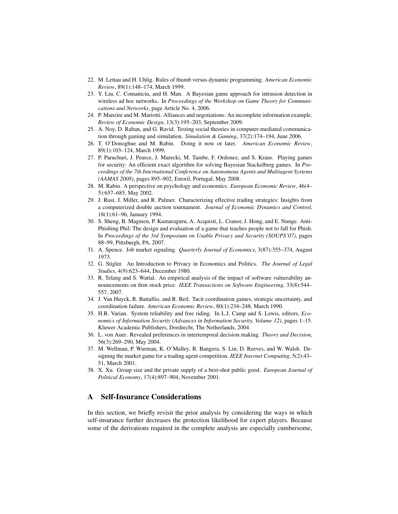- 22. M. Lettau and H. Uhlig. Rules of thumb versus dynamic programming. *American Economic Review*, 89(1):148–174, March 1999.
- 23. Y. Liu, C. Comaniciu, and H. Man. A Bayesian game approach for intrusion detection in wireless ad hoc networks. In *Proceedings of the Workshop on Game Theory for Communications and Networks*, page Article No. 4, 2006.
- 24. P. Manzini and M. Mariotti. Alliances and negotiations: An incomplete information example. *Review of Economic Design*, 13(3):195–203, September 2009.
- 25. A. Noy, D. Raban, and G. Ravid. Testing social theories in computer-mediated communication through gaming and simulation. *Simulation & Gaming*, 37(2):174–194, June 2006.
- 26. T. O'Donoghue and M. Rabin. Doing it now or later. *American Economic Review*, 89(1):103–124, March 1999.
- 27. P. Paruchuri, J. Pearce, J. Marecki, M. Tambe, F. Ordonez, and S. Kraus. Playing games for security: An efficient exact algorithm for solving Bayesian Stackelberg games. In *Proceedings of the 7th International Conference on Autonomous Agents and Multiagent Systems (AAMAS 2008)*, pages 895–902, Estoril, Portugal, May 2008.
- 28. M. Rabin. A perspective on psychology and economics. *European Economic Review*, 46(4– 5):657–685, May 2002.
- 29. J. Rust, J. Miller, and R. Palmer. Characterizing effective trading strategies: Insights from a computerized double auction tournament. *Journal of Economic Dynamics and Control*, 18(1):61–96, January 1994.
- 30. S. Sheng, B. Magnien, P. Kumaraguru, A. Acquisti, L. Cranor, J. Hong, and E. Nunge. Anti-Phishing Phil: The design and evaluation of a game that teaches people not to fall for Phish. In *Proceedings of the 3rd Symposium on Usable Privacy and Security (SOUPS'07)*, pages 88–99, Pittsburgh, PA, 2007.
- 31. A. Spence. Job market signaling. *Quarterly Journal of Economics*, 3(87):355–374, August 1973.
- 32. G. Stigler. An Introduction to Privacy in Economics and Politics. *The Journal of Legal Studies*, 4(9):623–644, December 1980.
- 33. R. Telang and S. Wattal. An empirical analysis of the impact of software vulnerability announcements on firm stock price. *IEEE Transactions on Software Engineering*, 33(8):544– 557, 2007.
- 34. J. Van Huyck, R. Battallio, and R. Beil. Tacit coordination games, strategic uncertainty, and coordination failure. *American Economic Review*, 80(1):234–248, March 1990.
- 35. H.R. Varian. System reliability and free riding. In L.J. Camp and S. Lewis, editors, *Economics of Information Security (Advances in Information Security, Volume 12)*, pages 1–15. Kluwer Academic Publishers, Dordrecht, The Netherlands, 2004.
- 36. L. von Auer. Revealed preferences in intertemporal decision making. *Theory and Decision*, 56(3):269–290, May 2004.
- 37. M. Wellman, P. Wurman, K. O'Malley, R. Bangera, S. Lin, D. Reeves, and W. Walsh. Designing the market game for a trading agent competition. *IEEE Internet Computing*, 5(2):43– 51, March 2001.
- 38. X. Xu. Group size and the private supply of a best-shot public good. *European Journal of Political Economy*, 17(4):897–904, November 2001.

# A Self-Insurance Considerations

In this section, we briefly revisit the prior analysis by considering the ways in which self-insurance further decreases the protection likelihood for expert players. Because some of the derivations required in the complete analysis are especially cumbersome,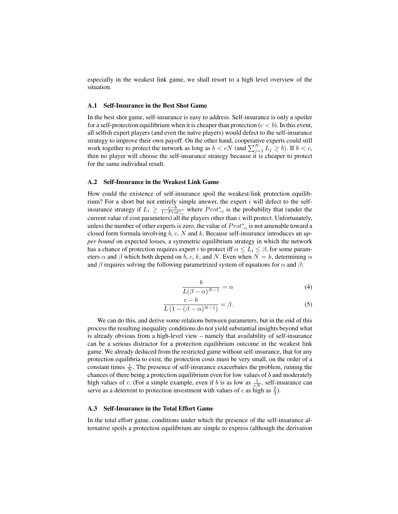especially in the weakest link game, we shall resort to a high level overview of the situation.

#### A.1 Self-Insurance in the Best Shot Game

In the best shot game, self-insurance is easy to address. Self-insurance is only a spoiler for a self-protection equilibrium when it is cheaper than protection  $(c < b)$ . In this event, all selfish expert players (and even the na¨ıve players) would defect to the self-insurance strategy to improve their own payoff. On the other hand, cooperative experts could still work together to protect the network as long as  $b < cN$  (and  $\sum_{j=1}^{N} L_j \geq b$ ). If  $b < c$ , then no player will choose the self-insurance strategy because it is cheaper to protect for the same individual result.

#### A.2 Self-Insurance in the Weakest Link Game

How could the existence of self-insurance spoil the weakest-link protection equilibrium? For a short but not entirely simple answer, the expert  $i$  will defect to the selfinsurance strategy if  $L_i \geq \frac{c-b}{1-Prot_{-i}^*}$  where  $Prot_{-i}^*$  is the probability that (under the current value of cost parameters) all the players other than i will protect. Unfortunately, unless the number of other experts is zero, the value of  $Prot_{\neg i}^*$  is not amenable toward a closed form formula involving b, c, N and k. Because self-insurance introduces an *upper bound* on expected losses, a symmetric equilibrium strategy in which the network has a chance of protection requires expert i to protect iff  $\alpha \leq L_i \leq \beta$ , for some parameters  $\alpha$  and  $\beta$  which both depend on b, c, k, and N. Even when  $N = k$ , determining  $\alpha$ and β requires solving the following parametrized system of equations for  $\alpha$  and  $\beta$ :

$$
\frac{b}{L(\beta - \alpha)^{N-1}} = \alpha \tag{4}
$$

$$
\frac{c-b}{L\left(1-(\beta-\alpha)^{N-1}\right)} = \beta.
$$
\n(5)

We can do this, and derive some relations between parameters, but in the end of this process the resulting inequality conditions do not yield substantial insights beyond what is already obvious from a high-level view – namely that availability of self-insurance can be a serious distractor for a protection equilibrium outcome in the weakest link game. We already deduced from the restricted game without self-insurance, that for any protection equilibria to exist, the protection costs must be very small, on the order of a constant times  $\frac{1}{N}$ . The presence of self-insurance exacerbates the problem, ruining the chances of there being a protection equilibrium even for low values of  $b$  and moderately high values of c. (For a simple example, even if b is as low as  $\frac{1}{eN}$ , self-insurance can serve as a deterrent to protection investment with values of c as high as  $\frac{2}{3}$ ).

#### A.3 Self-Insurance in the Total Effort Game

In the total effort game, conditions under which the presence of the self-insurance alternative spoils a protection equilibrium are simple to express (although the derivation